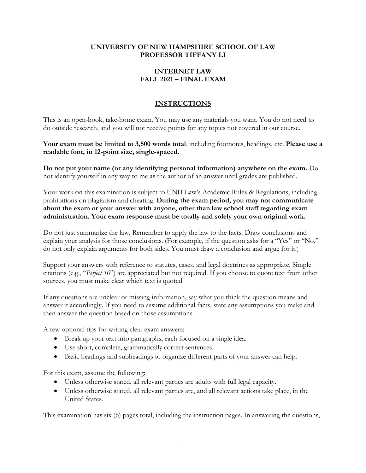#### **UNIVERSITY OF NEW HAMPSHIRE SCHOOL OF LAW PROFESSOR TIFFANY LI**

## **INTERNET LAW FALL 2021 – FINAL EXAM**

# **INSTRUCTIONS**

This is an open-book, take-home exam. You may use any materials you want. You do not need to do outside research, and you will not receive points for any topics not covered in our course.

**Your exam must be limited to 3,500 words total**, including footnotes, headings, etc. **Please use a readable font, in 12-point size, single-spaced.** 

**Do not put your name (or any identifying personal information) anywhere on the exam.** Do not identify yourself in any way to me as the author of an answer until grades are published.

Your work on this examination is subject to UNH Law's Academic Rules & Regulations, including prohibitions on plagiarism and cheating. **During the exam period, you may not communicate about the exam or your answer with anyone, other than law school staff regarding exam administration. Your exam response must be totally and solely your own original work.** 

Do not just summarize the law. Remember to apply the law to the facts. Draw conclusions and explain your analysis for those conclusions. (For example, if the question asks for a "Yes" or "No," do not only explain arguments for both sides. You must draw a conclusion and argue for it.)

Support your answers with reference to statutes, cases, and legal doctrines as appropriate. Simple citations (e.g., "*Perfect 10*") are appreciated but not required. If you choose to quote text from other sources, you must make clear which text is quoted.

If any questions are unclear or missing information, say what you think the question means and answer it accordingly. If you need to assume additional facts, state any assumptions you make and then answer the question based on those assumptions.

A few optional tips for writing clear exam answers:

- Break up your text into paragraphs, each focused on a single idea.
- Use short, complete, grammatically correct sentences.
- Basic headings and subheadings to organize different parts of your answer can help.

For this exam, assume the following:

- Unless otherwise stated, all relevant parties are adults with full legal capacity.
- Unless otherwise stated, all relevant parties are, and all relevant actions take place, in the United States.

This examination has six (6) pages total, including the instruction pages. In answering the questions,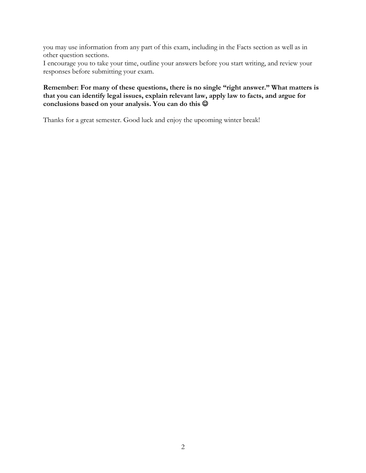you may use information from any part of this exam, including in the Facts section as well as in other question sections.

I encourage you to take your time, outline your answers before you start writing, and review your responses before submitting your exam.

## **Remember: For many of these questions, there is no single "right answer." What matters is that you can identify legal issues, explain relevant law, apply law to facts, and argue for**  conclusions based on your analysis. You can do this  $\circledcirc$

Thanks for a great semester. Good luck and enjoy the upcoming winter break!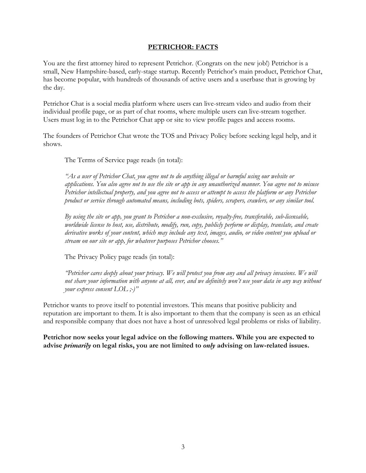### **PETRICHOR: FACTS**

You are the first attorney hired to represent Petrichor. (Congrats on the new job!) Petrichor is a small, New Hampshire-based, early-stage startup. Recently Petrichor's main product, Petrichor Chat, has become popular, with hundreds of thousands of active users and a userbase that is growing by the day.

Petrichor Chat is a social media platform where users can live-stream video and audio from their individual profile page, or as part of chat rooms, where multiple users can live-stream together. Users must log in to the Petrichor Chat app or site to view profile pages and access rooms.

The founders of Petrichor Chat wrote the TOS and Privacy Policy before seeking legal help, and it shows.

The Terms of Service page reads (in total):

*"As a user of Petrichor Chat, you agree not to do anything illegal or harmful using our website or applications. You also agree not to use the site or app in any unauthorized manner. You agree not to misuse Petrichor intellectual property, and you agree not to access or attempt to access the platform or any Petrichor product or service through automated means, including bots, spiders, scrapers, crawlers, or any similar tool.*

*By using the site or app, you grant to Petrichor a non-exclusive, royalty-free, transferable, sub-licensable, worldwide license to host, use, distribute, modify, run, copy, publicly perform or display, translate, and create derivative works of your content, which may include any text, images, audio, or video content you upload or stream on our site or app, for whatever purposes Petrichor chooses."*

The Privacy Policy page reads (in total):

*"Petrichor cares deeply about your privacy. We will protect you from any and all privacy invasions. We will not share your information with anyone at all, ever, and we definitely won't use your data in any way without your express consent LOL ;-)"*

Petrichor wants to prove itself to potential investors. This means that positive publicity and reputation are important to them. It is also important to them that the company is seen as an ethical and responsible company that does not have a host of unresolved legal problems or risks of liability.

**Petrichor now seeks your legal advice on the following matters. While you are expected to advise** *primarily* **on legal risks, you are not limited to** *only* **advising on law-related issues.**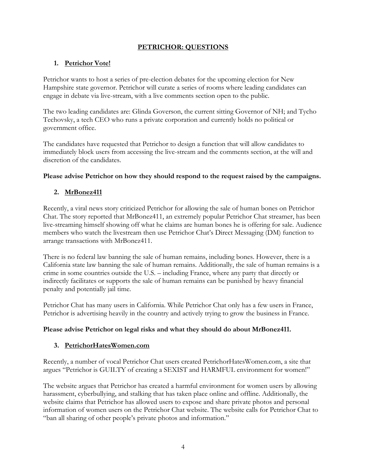# **PETRICHOR: QUESTIONS**

# **1. Petrichor Vote!**

Petrichor wants to host a series of pre-election debates for the upcoming election for New Hampshire state governor. Petrichor will curate a series of rooms where leading candidates can engage in debate via live-stream, with a live comments section open to the public.

The two leading candidates are: Glinda Goverson, the current sitting Governor of NH; and Tycho Techovsky, a tech CEO who runs a private corporation and currently holds no political or government office.

The candidates have requested that Petrichor to design a function that will allow candidates to immediately block users from accessing the live-stream and the comments section, at the will and discretion of the candidates.

## **Please advise Petrichor on how they should respond to the request raised by the campaigns.**

# **2. MrBonez411**

Recently, a viral news story criticized Petrichor for allowing the sale of human bones on Petrichor Chat. The story reported that MrBonez411, an extremely popular Petrichor Chat streamer, has been live-streaming himself showing off what he claims are human bones he is offering for sale. Audience members who watch the livestream then use Petrichor Chat's Direct Messaging (DM) function to arrange transactions with MrBonez411.

There is no federal law banning the sale of human remains, including bones. However, there is a California state law banning the sale of human remains. Additionally, the sale of human remains is a crime in some countries outside the U.S. – including France, where any party that directly or indirectly facilitates or supports the sale of human remains can be punished by heavy financial penalty and potentially jail time.

Petrichor Chat has many users in California. While Petrichor Chat only has a few users in France, Petrichor is advertising heavily in the country and actively trying to grow the business in France.

### **Please advise Petrichor on legal risks and what they should do about MrBonez411.**

# **3. PetrichorHatesWomen.com**

Recently, a number of vocal Petrichor Chat users created PetrichorHatesWomen.com, a site that argues "Petrichor is GUILTY of creating a SEXIST and HARMFUL environment for women!"

The website argues that Petrichor has created a harmful environment for women users by allowing harassment, cyberbullying, and stalking that has taken place online and offline. Additionally, the website claims that Petrichor has allowed users to expose and share private photos and personal information of women users on the Petrichor Chat website. The website calls for Petrichor Chat to "ban all sharing of other people's private photos and information."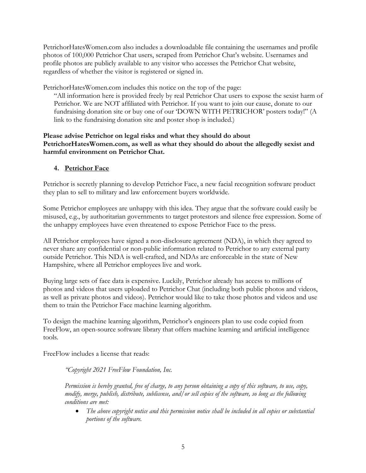PetrichorHatesWomen.com also includes a downloadable file containing the usernames and profile photos of 100,000 Petrichor Chat users, scraped from Petrichor Chat's website. Usernames and profile photos are publicly available to any visitor who accesses the Petrichor Chat website, regardless of whether the visitor is registered or signed in.

PetrichorHatesWomen.com includes this notice on the top of the page:

"All information here is provided freely by real Petrichor Chat users to expose the sexist harm of Petrichor. We are NOT affiliated with Petrichor. If you want to join our cause, donate to our fundraising donation site or buy one of our 'DOWN WITH PETRICHOR' posters today!" (A link to the fundraising donation site and poster shop is included.)

### **Please advise Petrichor on legal risks and what they should do about PetrichorHatesWomen.com, as well as what they should do about the allegedly sexist and harmful environment on Petrichor Chat.**

## **4. Petrichor Face**

Petrichor is secretly planning to develop Petrichor Face, a new facial recognition software product they plan to sell to military and law enforcement buyers worldwide.

Some Petrichor employees are unhappy with this idea. They argue that the software could easily be misused, e.g., by authoritarian governments to target protestors and silence free expression. Some of the unhappy employees have even threatened to expose Petrichor Face to the press.

All Petrichor employees have signed a non-disclosure agreement (NDA), in which they agreed to never share any confidential or non-public information related to Petrichor to any external party outside Petrichor. This NDA is well-crafted, and NDAs are enforceable in the state of New Hampshire, where all Petrichor employees live and work.

Buying large sets of face data is expensive. Luckily, Petrichor already has access to millions of photos and videos that users uploaded to Petrichor Chat (including both public photos and videos, as well as private photos and videos). Petrichor would like to take those photos and videos and use them to train the Petrichor Face machine learning algorithm.

To design the machine learning algorithm, Petrichor's engineers plan to use code copied from FreeFlow, an open-source software library that offers machine learning and artificial intelligence tools.

FreeFlow includes a license that reads:

*"Copyright 2021 FreeFlow Foundation, Inc.*

*Permission is hereby granted, free of charge, to any person obtaining a copy of this software, to use, copy, modify, merge, publish, distribute, sublicense, and/or sell copies of the software, so long as the following conditions are met:* 

• *The above copyright notice and this permission notice shall be included in all copies or substantial portions of the software.*